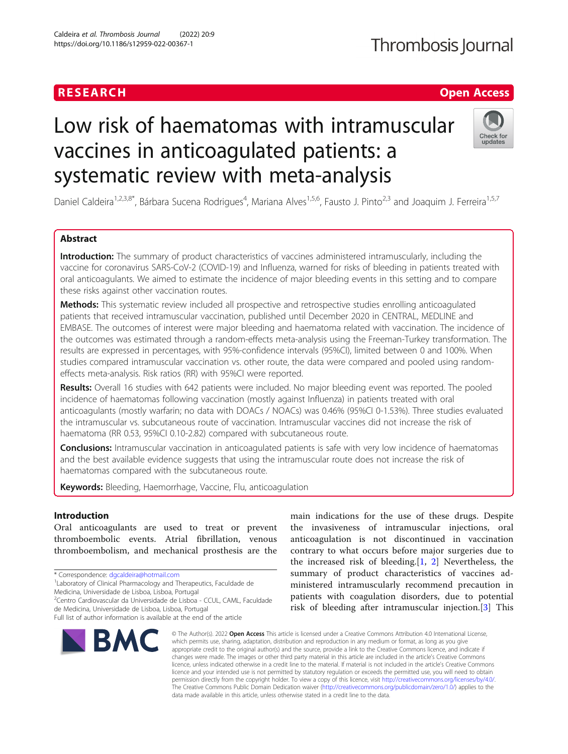# **RESEARCH CHE Open Access**

# Thrombosis Journal

# Low risk of haematomas with intramuscular vaccines in anticoagulated patients: a systematic review with meta-analysis



Daniel Caldeira<sup>1,2,3,8\*</sup>, Bárbara Sucena Rodrigues<sup>4</sup>, Mariana Alves<sup>1,5,6</sup>, Fausto J. Pinto<sup>2,3</sup> and Joaquim J. Ferreira<sup>1,5,7</sup>

# Abstract

Introduction: The summary of product characteristics of vaccines administered intramuscularly, including the vaccine for coronavirus SARS-CoV-2 (COVID-19) and Influenza, warned for risks of bleeding in patients treated with oral anticoagulants. We aimed to estimate the incidence of major bleeding events in this setting and to compare these risks against other vaccination routes.

Methods: This systematic review included all prospective and retrospective studies enrolling anticoagulated patients that received intramuscular vaccination, published until December 2020 in CENTRAL, MEDLINE and EMBASE. The outcomes of interest were major bleeding and haematoma related with vaccination. The incidence of the outcomes was estimated through a random-effects meta-analysis using the Freeman-Turkey transformation. The results are expressed in percentages, with 95%-confidence intervals (95%CI), limited between 0 and 100%. When studies compared intramuscular vaccination vs. other route, the data were compared and pooled using randomeffects meta-analysis. Risk ratios (RR) with 95%CI were reported.

Results: Overall 16 studies with 642 patients were included. No major bleeding event was reported. The pooled incidence of haematomas following vaccination (mostly against Influenza) in patients treated with oral anticoagulants (mostly warfarin; no data with DOACs / NOACs) was 0.46% (95%CI 0-1.53%). Three studies evaluated the intramuscular vs. subcutaneous route of vaccination. Intramuscular vaccines did not increase the risk of haematoma (RR 0.53, 95%CI 0.10-2.82) compared with subcutaneous route.

**Conclusions:** Intramuscular vaccination in anticoagulated patients is safe with very low incidence of haematomas and the best available evidence suggests that using the intramuscular route does not increase the risk of haematomas compared with the subcutaneous route.

Keywords: Bleeding, Haemorrhage, Vaccine, Flu, anticoagulation

# Introduction

Oral anticoagulants are used to treat or prevent thromboembolic events. Atrial fibrillation, venous thromboembolism, and mechanical prosthesis are the

\* Correspondence: [dgcaldeira@hotmail.com](mailto:dgcaldeira@hotmail.com) <sup>1</sup>

2 Centro Cardiovascular da Universidade de Lisboa - CCUL, CAML, Faculdade de Medicina, Universidade de Lisboa, Lisboa, Portugal

Full list of author information is available at the end of the article



main indications for the use of these drugs. Despite the invasiveness of intramuscular injections, oral anticoagulation is not discontinued in vaccination contrary to what occurs before major surgeries due to the increased risk of bleeding.[\[1](#page-6-0), [2](#page-6-0)] Nevertheless, the summary of product characteristics of vaccines administered intramuscularly recommend precaution in patients with coagulation disorders, due to potential risk of bleeding after intramuscular injection.[[3\]](#page-6-0) This

© The Author(s), 2022 **Open Access** This article is licensed under a Creative Commons Attribution 4.0 International License, which permits use, sharing, adaptation, distribution and reproduction in any medium or format, as long as you give appropriate credit to the original author(s) and the source, provide a link to the Creative Commons licence, and indicate if changes were made. The images or other third party material in this article are included in the article's Creative Commons licence, unless indicated otherwise in a credit line to the material. If material is not included in the article's Creative Commons licence and your intended use is not permitted by statutory regulation or exceeds the permitted use, you will need to obtain permission directly from the copyright holder. To view a copy of this licence, visit [http://creativecommons.org/licenses/by/4.0/.](http://creativecommons.org/licenses/by/4.0/) The Creative Commons Public Domain Dedication waiver [\(http://creativecommons.org/publicdomain/zero/1.0/](http://creativecommons.org/publicdomain/zero/1.0/)) applies to the data made available in this article, unless otherwise stated in a credit line to the data.

<sup>&</sup>lt;sup>1</sup> Laboratory of Clinical Pharmacology and Therapeutics, Faculdade de Medicina, Universidade de Lisboa, Lisboa, Portugal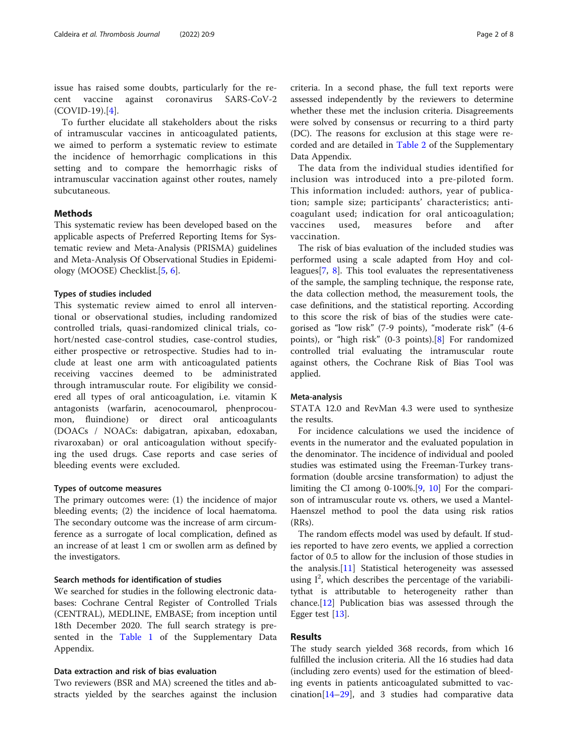issue has raised some doubts, particularly for the recent vaccine against coronavirus SARS-CoV-2 (COVID-19).[\[4](#page-6-0)].

To further elucidate all stakeholders about the risks of intramuscular vaccines in anticoagulated patients, we aimed to perform a systematic review to estimate the incidence of hemorrhagic complications in this setting and to compare the hemorrhagic risks of intramuscular vaccination against other routes, namely subcutaneous.

# Methods

This systematic review has been developed based on the applicable aspects of Preferred Reporting Items for Systematic review and Meta-Analysis (PRISMA) guidelines and Meta-Analysis Of Observational Studies in Epidemiology (MOOSE) Checklist.[[5,](#page-6-0) [6\]](#page-6-0).

### Types of studies included

This systematic review aimed to enrol all interventional or observational studies, including randomized controlled trials, quasi-randomized clinical trials, cohort/nested case-control studies, case-control studies, either prospective or retrospective. Studies had to include at least one arm with anticoagulated patients receiving vaccines deemed to be administrated through intramuscular route. For eligibility we considered all types of oral anticoagulation, i.e. vitamin K antagonists (warfarin, acenocoumarol, phenprocoumon, fluindione) or direct oral anticoagulants (DOACs / NOACs: dabigatran, apixaban, edoxaban, rivaroxaban) or oral anticoagulation without specifying the used drugs. Case reports and case series of bleeding events were excluded.

# Types of outcome measures

The primary outcomes were: (1) the incidence of major bleeding events; (2) the incidence of local haematoma. The secondary outcome was the increase of arm circumference as a surrogate of local complication, defined as an increase of at least 1 cm or swollen arm as defined by the investigators.

# Search methods for identification of studies

We searched for studies in the following electronic databases: Cochrane Central Register of Controlled Trials (CENTRAL), MEDLINE, EMBASE; from inception until 18th December 2020. The full search strategy is presented in the [Table 1](#page-6-0) of the Supplementary Data Appendix.

# Data extraction and risk of bias evaluation

Two reviewers (BSR and MA) screened the titles and abstracts yielded by the searches against the inclusion criteria. In a second phase, the full text reports were assessed independently by the reviewers to determine whether these met the inclusion criteria. Disagreements were solved by consensus or recurring to a third party (DC). The reasons for exclusion at this stage were recorded and are detailed in [Table 2](#page-6-0) of the Supplementary Data Appendix.

The data from the individual studies identified for inclusion was introduced into a pre-piloted form. This information included: authors, year of publication; sample size; participants' characteristics; anticoagulant used; indication for oral anticoagulation; vaccines used, measures before and after vaccination.

The risk of bias evaluation of the included studies was performed using a scale adapted from Hoy and colleagues[\[7](#page-6-0), [8\]](#page-6-0). This tool evaluates the representativeness of the sample, the sampling technique, the response rate, the data collection method, the measurement tools, the case definitions, and the statistical reporting. According to this score the risk of bias of the studies were categorised as "low risk" (7-9 points), "moderate risk" (4-6 points), or "high risk" (0-3 points).[\[8](#page-6-0)] For randomized controlled trial evaluating the intramuscular route against others, the Cochrane Risk of Bias Tool was applied.

# Meta-analysis

STATA 12.0 and RevMan 4.3 were used to synthesize the results.

For incidence calculations we used the incidence of events in the numerator and the evaluated population in the denominator. The incidence of individual and pooled studies was estimated using the Freeman-Turkey transformation (double arcsine transformation) to adjust the limiting the CI among 0-100%.[[9](#page-6-0), [10](#page-6-0)] For the comparison of intramuscular route vs. others, we used a Mantel-Haenszel method to pool the data using risk ratios  $(RRs)$ .

The random effects model was used by default. If studies reported to have zero events, we applied a correction factor of 0.5 to allow for the inclusion of those studies in the analysis.[[11\]](#page-6-0) Statistical heterogeneity was assessed using I<sup>2</sup>, which describes the percentage of the variabilitythat is attributable to heterogeneity rather than chance.[\[12](#page-6-0)] Publication bias was assessed through the Egger test [\[13](#page-6-0)].

# Results

The study search yielded 368 records, from which 16 fulfilled the inclusion criteria. All the 16 studies had data (including zero events) used for the estimation of bleeding events in patients anticoagulated submitted to vaccination $[14–29]$  $[14–29]$  $[14–29]$  $[14–29]$  $[14–29]$ , and 3 studies had comparative data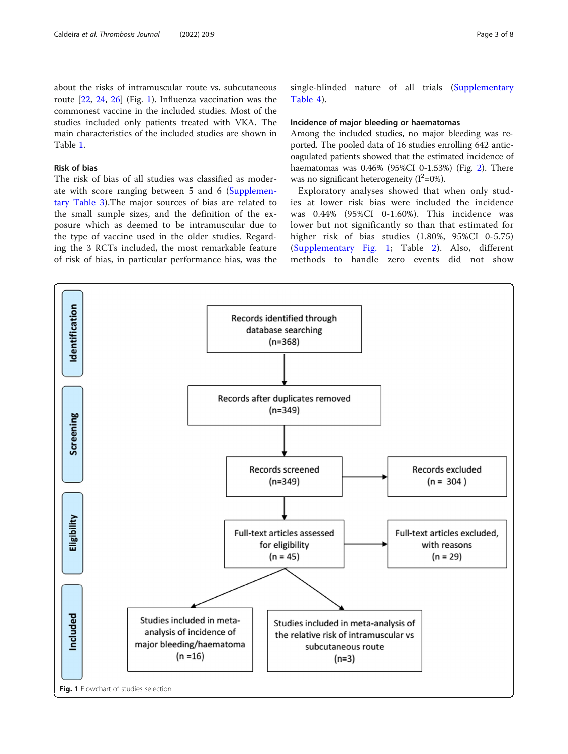about the risks of intramuscular route vs. subcutaneous route [\[22,](#page-6-0) [24](#page-6-0), [26\]](#page-7-0) (Fig. 1). Influenza vaccination was the commonest vaccine in the included studies. Most of the studies included only patients treated with VKA. The main characteristics of the included studies are shown in Table [1.](#page-3-0)

# Risk of bias

The risk of bias of all studies was classified as moderate with score ranging between 5 and 6 [\(Supplemen](#page-6-0)[tary Table 3\)](#page-6-0).The major sources of bias are related to the small sample sizes, and the definition of the exposure which as deemed to be intramuscular due to the type of vaccine used in the older studies. Regarding the 3 RCTs included, the most remarkable feature of risk of bias, in particular performance bias, was the single-blinded nature of all trials [\(Supplementary](#page-6-0) [Table 4](#page-6-0)).

# Incidence of major bleeding or haematomas

Among the included studies, no major bleeding was reported. The pooled data of 16 studies enrolling 642 anticoagulated patients showed that the estimated incidence of haematomas was 0.46% (95%CI 0-1.53%) (Fig. [2](#page-4-0)). There was no significant heterogeneity  $(I^2=0\%)$ .

Exploratory analyses showed that when only studies at lower risk bias were included the incidence was 0.44% (95%CI 0-1.60%). This incidence was lower but not significantly so than that estimated for higher risk of bias studies (1.80%, 95%CI 0-5.75) ([Supplementary Fig. 1](#page-6-0); Table [2](#page-4-0)). Also, different methods to handle zero events did not show

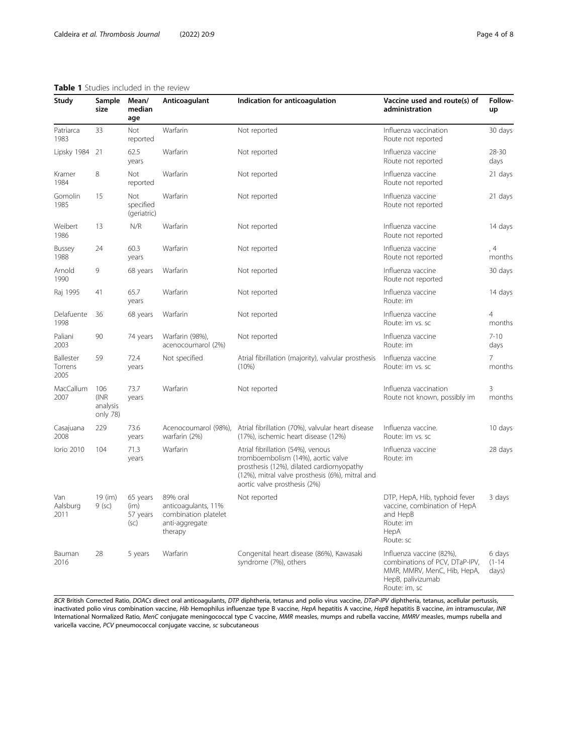# <span id="page-3-0"></span>Table 1 Studies included in the review

| Study                        | Sample<br>size                      | Mean/<br>median<br>age                 | Anticoagulant                                                                        | Indication for anticoagulation                                                                                                                                                                         | Vaccine used and route(s) of<br>administration                                                                                  | Follow-<br>up                 |
|------------------------------|-------------------------------------|----------------------------------------|--------------------------------------------------------------------------------------|--------------------------------------------------------------------------------------------------------------------------------------------------------------------------------------------------------|---------------------------------------------------------------------------------------------------------------------------------|-------------------------------|
| Patriarca<br>1983            | 33                                  | Not<br>reported                        | Warfarin                                                                             | Not reported                                                                                                                                                                                           | Influenza vaccination<br>Route not reported                                                                                     | 30 days                       |
| Lipsky 1984                  | 21                                  | 62.5<br>years                          | Warfarin                                                                             | Not reported                                                                                                                                                                                           | Influenza vaccine<br>Route not reported                                                                                         | 28-30<br>days                 |
| Kramer<br>1984               | 8                                   | Not<br>reported                        | Warfarin                                                                             | Not reported                                                                                                                                                                                           | Influenza vaccine<br>Route not reported                                                                                         | 21 days                       |
| Gomolin<br>1985              | 15                                  | <b>Not</b><br>specified<br>(geriatric) | Warfarin                                                                             | Not reported                                                                                                                                                                                           | Influenza vaccine<br>Route not reported                                                                                         | 21 days                       |
| Weibert<br>1986              | 13                                  | N/R                                    | Warfarin                                                                             | Not reported<br>Influenza vaccine<br>Route not reported                                                                                                                                                |                                                                                                                                 | 14 days                       |
| Bussey<br>1988               | 24                                  | 60.3<br>years                          | Warfarin                                                                             | Not reported                                                                                                                                                                                           | Influenza vaccine<br>Route not reported                                                                                         | , 4<br>months                 |
| Arnold<br>1990               | 9                                   | 68 years                               | Warfarin                                                                             | Not reported                                                                                                                                                                                           | Influenza vaccine<br>Route not reported                                                                                         | 30 days                       |
| Raj 1995                     | 41                                  | 65.7<br>years                          | Warfarin                                                                             | Not reported                                                                                                                                                                                           | Influenza vaccine<br>Route: im                                                                                                  | 14 days                       |
| Delafuente<br>1998           | 36                                  | 68 years                               | Warfarin                                                                             | Not reported                                                                                                                                                                                           | Influenza vaccine<br>Route: im vs. sc                                                                                           | 4<br>months                   |
| Paliani<br>2003              | 90                                  | 74 years                               | Warfarin (98%),<br>acenocoumarol (2%)                                                | Not reported                                                                                                                                                                                           | Influenza vaccine<br>Route: im                                                                                                  | $7 - 10$<br>days              |
| Ballester<br>Torrens<br>2005 | 59                                  | 72.4<br>years                          | Not specified                                                                        | Atrial fibrillation (majority), valvular prosthesis<br>$(10\%)$                                                                                                                                        | Influenza vaccine<br>Route: im vs. sc                                                                                           | 7<br>months                   |
| MacCallum<br>2007            | 106<br>(INR<br>analysis<br>only 78) | 73.7<br>years                          | Warfarin                                                                             | Not reported                                                                                                                                                                                           | Influenza vaccination<br>Route not known, possibly im                                                                           | 3<br>months                   |
| Casajuana<br>2008            | 229                                 | 73.6<br>years                          | warfarin (2%)                                                                        | Acenocoumarol (98%), Atrial fibrillation (70%), valvular heart disease<br>(17%), ischemic heart disease (12%)                                                                                          | Influenza vaccine.<br>Route: im vs. sc                                                                                          | 10 days                       |
| lorio 2010                   | 104                                 | 71.3<br>years                          | Warfarin                                                                             | Atrial fibrillation (54%), venous<br>tromboembolism (14%), aortic valve<br>prosthesis (12%), dilated cardiomyopathy<br>(12%), mitral valve prosthesis (6%), mitral and<br>aortic valve prosthesis (2%) | Influenza vaccine<br>Route: im                                                                                                  | 28 days                       |
| Van<br>Aalsburg<br>2011      | 19 (im)<br>$9$ (sc)                 | 65 years<br>(im)<br>57 years<br>(sc)   | 89% oral<br>anticoagulants, 11%<br>combination platelet<br>anti-aggregate<br>therapy | Not reported                                                                                                                                                                                           | DTP, HepA, Hib, typhoid fever<br>vaccine, combination of HepA<br>and HepB<br>Route: im<br>HepA<br>Route: sc                     | 3 days                        |
| Bauman<br>2016               | 28                                  | 5 years                                | Warfarin                                                                             | Congenital heart disease (86%), Kawasaki<br>syndrome (7%), others                                                                                                                                      | Influenza vaccine (82%),<br>combinations of PCV, DTaP-IPV,<br>MMR, MMRV, MenC, Hib, HepA,<br>HepB, palivizumab<br>Route: im, sc | 6 days<br>$(1 - 14)$<br>days) |

BCR British Corrected Ratio, DOACs direct oral anticoagulants, DTP diphtheria, tetanus and polio virus vaccine, DTaP-IPV diphtheria, tetanus, acellular pertussis, inactivated polio virus combination vaccine, H*ib* Hemophilus influenzae type B vaccine, HepA hepatitis A vaccine, HepB hepatitis B vaccine, *im* intramuscular, INR International Normalized Ratio, MenC conjugate meningococcal type C vaccine, MMR measles, mumps and rubella vaccine, MMRV measles, mumps rubella and varicella vaccine, PCV pneumococcal conjugate vaccine, sc subcutaneous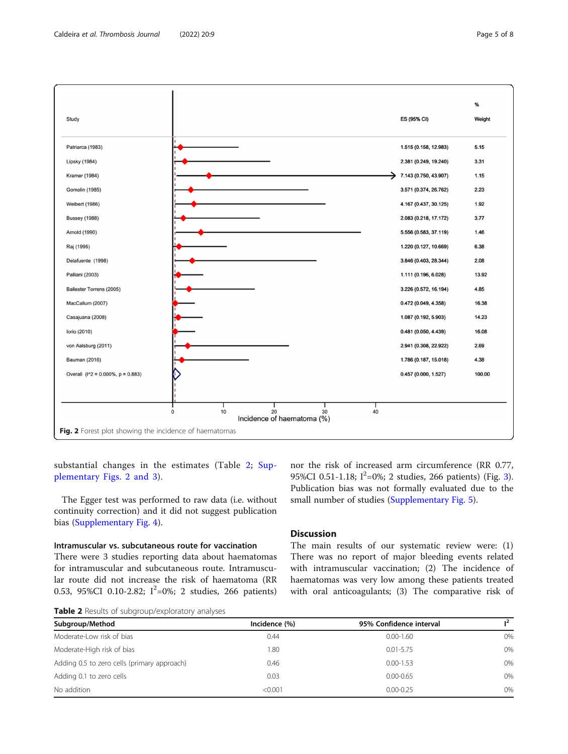

<span id="page-4-0"></span>

substantial changes in the estimates (Table 2; [Sup](#page-6-0)[plementary Figs. 2 and 3](#page-6-0)).

The Egger test was performed to raw data (i.e. without continuity correction) and it did not suggest publication bias ([Supplementary Fig. 4](#page-6-0)).

# Intramuscular vs. subcutaneous route for vaccination

There were 3 studies reporting data about haematomas for intramuscular and subcutaneous route. Intramuscular route did not increase the risk of haematoma (RR 0.53, 95%CI 0.10-2.82;  $I^2=0\%$ ; 2 studies, 266 patients)

nor the risk of increased arm circumference (RR 0.77, 95%CI 0.51-1.18;  $I^2=0\%$ ; 2 studies, 266 patients) (Fig. [3](#page-5-0)). Publication bias was not formally evaluated due to the small number of studies [\(Supplementary Fig. 5](#page-6-0)).

# **Discussion**

The main results of our systematic review were: (1) There was no report of major bleeding events related with intramuscular vaccination; (2) The incidence of haematomas was very low among these patients treated with oral anticoagulants; (3) The comparative risk of

Table 2 Results of subgroup/exploratory analyses

| Subgroup/Method                             | Incidence (%) | 95% Confidence interval |    |  |
|---------------------------------------------|---------------|-------------------------|----|--|
| Moderate-Low risk of bias                   | 0.44          | $0.00 - 1.60$           | 0% |  |
| Moderate-High risk of bias                  | 1.80          | $0.01 - 5.75$           | 0% |  |
| Adding 0.5 to zero cells (primary approach) | 0.46          | $0.00 - 1.53$           | 0% |  |
| Adding 0.1 to zero cells                    | 0.03          | $0.00 - 0.65$           | 0% |  |
| No addition                                 | < 0.001       | $0.00 - 0.25$           | 0% |  |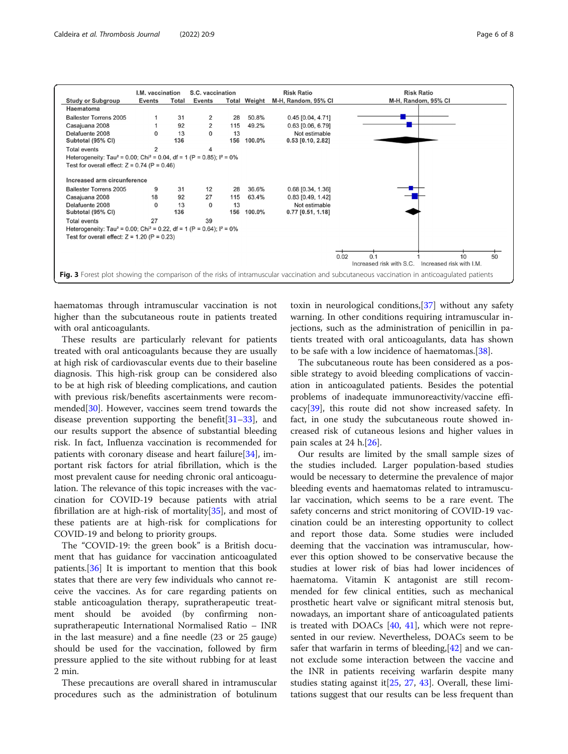<span id="page-5-0"></span>

|                                                                                                 | I.M. vaccination |       | S.C. vaccination |     |                     | <b>Risk Ratio</b>   | <b>Risk Ratio</b>                                                                                                                           |
|-------------------------------------------------------------------------------------------------|------------------|-------|------------------|-----|---------------------|---------------------|---------------------------------------------------------------------------------------------------------------------------------------------|
| <b>Study or Subgroup</b>                                                                        | <b>Events</b>    | Total | <b>Events</b>    |     | <b>Total Weight</b> | M-H, Random, 95% CI | M-H, Random, 95% CI                                                                                                                         |
| Haematoma                                                                                       |                  |       |                  |     |                     |                     |                                                                                                                                             |
| <b>Ballester Torrens 2005</b>                                                                   |                  | 31    | 2                | 28  | 50.8%               | $0.45$ [0.04, 4.71] |                                                                                                                                             |
| Casajuana 2008                                                                                  |                  | 92    | 2                | 115 | 49.2%               | $0.63$ [0.06, 6.79] |                                                                                                                                             |
| Delafuente 2008                                                                                 | $\Omega$         | 13    | 0                | 13  |                     | Not estimable       |                                                                                                                                             |
| Subtotal (95% CI)                                                                               |                  | 136   |                  | 156 | 100.0%              | $0.53$ [0.10, 2.82] |                                                                                                                                             |
| <b>Total events</b>                                                                             | 2                |       |                  |     |                     |                     |                                                                                                                                             |
| Heterogeneity: Tau <sup>2</sup> = 0.00; Chi <sup>2</sup> = 0.04, df = 1 (P = 0.85); $I^2 = 0\%$ |                  |       |                  |     |                     |                     |                                                                                                                                             |
| Test for overall effect: $Z = 0.74$ (P = 0.46)                                                  |                  |       |                  |     |                     |                     |                                                                                                                                             |
| Increased arm circunference                                                                     |                  |       |                  |     |                     |                     |                                                                                                                                             |
| <b>Ballester Torrens 2005</b>                                                                   | 9                | 31    | 12               | 28  | 36.6%               | $0.68$ [0.34, 1.36] |                                                                                                                                             |
| Casajuana 2008                                                                                  | 18               | 92    | 27               | 115 | 63.4%               | $0.83$ [0.49, 1.42] |                                                                                                                                             |
| Delafuente 2008                                                                                 | 0                | 13    | $\Omega$         | 13  |                     | Not estimable       |                                                                                                                                             |
| Subtotal (95% CI)                                                                               |                  | 136   |                  |     | 156 100.0%          | $0.77$ [0.51, 1.18] |                                                                                                                                             |
| <b>Total events</b>                                                                             | 27               |       | 39               |     |                     |                     |                                                                                                                                             |
| Heterogeneity: Tau <sup>2</sup> = 0.00; Chi <sup>2</sup> = 0.22, df = 1 (P = 0.64); $I^2 = 0\%$ |                  |       |                  |     |                     |                     |                                                                                                                                             |
| Test for overall effect: $Z = 1.20$ (P = 0.23)                                                  |                  |       |                  |     |                     |                     |                                                                                                                                             |
|                                                                                                 |                  |       |                  |     |                     |                     |                                                                                                                                             |
|                                                                                                 |                  |       |                  |     |                     |                     | 0.1<br>0.02<br>50<br>10                                                                                                                     |
|                                                                                                 |                  |       |                  |     |                     |                     | Increased risk with S.C.<br>Increased risk with I.M.                                                                                        |
|                                                                                                 |                  |       |                  |     |                     |                     | Fig. 3 Forest plot showing the comparison of the risks of intramuscular vaccination and subcutaneous vaccination in anticoagulated patients |

haematomas through intramuscular vaccination is not higher than the subcutaneous route in patients treated with oral anticoagulants.

These results are particularly relevant for patients treated with oral anticoagulants because they are usually at high risk of cardiovascular events due to their baseline diagnosis. This high-risk group can be considered also to be at high risk of bleeding complications, and caution with previous risk/benefits ascertainments were recommended[[30\]](#page-7-0). However, vaccines seem trend towards the disease prevention supporting the benefit[\[31](#page-7-0)–[33\]](#page-7-0), and our results support the absence of substantial bleeding risk. In fact, Influenza vaccination is recommended for patients with coronary disease and heart failure[[34](#page-7-0)], important risk factors for atrial fibrillation, which is the most prevalent cause for needing chronic oral anticoagulation. The relevance of this topic increases with the vaccination for COVID-19 because patients with atrial fibrillation are at high-risk of mortality[[35](#page-7-0)], and most of these patients are at high-risk for complications for COVID-19 and belong to priority groups.

The "COVID-19: the green book" is a British document that has guidance for vaccination anticoagulated patients.[\[36\]](#page-7-0) It is important to mention that this book states that there are very few individuals who cannot receive the vaccines. As for care regarding patients on stable anticoagulation therapy, supratherapeutic treatment should be avoided (by confirming nonsupratherapeutic International Normalised Ratio – INR in the last measure) and a fine needle (23 or 25 gauge) should be used for the vaccination, followed by firm pressure applied to the site without rubbing for at least 2 min.

These precautions are overall shared in intramuscular procedures such as the administration of botulinum

toxin in neurological conditions,[\[37](#page-7-0)] without any safety warning. In other conditions requiring intramuscular injections, such as the administration of penicillin in patients treated with oral anticoagulants, data has shown to be safe with a low incidence of haematomas.[[38](#page-7-0)].

The subcutaneous route has been considered as a possible strategy to avoid bleeding complications of vaccination in anticoagulated patients. Besides the potential problems of inadequate immunoreactivity/vaccine efficacy[\[39](#page-7-0)], this route did not show increased safety. In fact, in one study the subcutaneous route showed increased risk of cutaneous lesions and higher values in pain scales at 24 h.[\[26](#page-7-0)].

Our results are limited by the small sample sizes of the studies included. Larger population-based studies would be necessary to determine the prevalence of major bleeding events and haematomas related to intramuscular vaccination, which seems to be a rare event. The safety concerns and strict monitoring of COVID-19 vaccination could be an interesting opportunity to collect and report those data. Some studies were included deeming that the vaccination was intramuscular, however this option showed to be conservative because the studies at lower risk of bias had lower incidences of haematoma. Vitamin K antagonist are still recommended for few clinical entities, such as mechanical prosthetic heart valve or significant mitral stenosis but, nowadays, an important share of anticoagulated patients is treated with DOACs [[40,](#page-7-0) [41\]](#page-7-0), which were not represented in our review. Nevertheless, DOACs seem to be safer that warfarin in terms of bleeding,[[42\]](#page-7-0) and we cannot exclude some interaction between the vaccine and the INR in patients receiving warfarin despite many studies stating against it  $[25, 27, 43]$  $[25, 27, 43]$  $[25, 27, 43]$  $[25, 27, 43]$  $[25, 27, 43]$  $[25, 27, 43]$ . Overall, these limitations suggest that our results can be less frequent than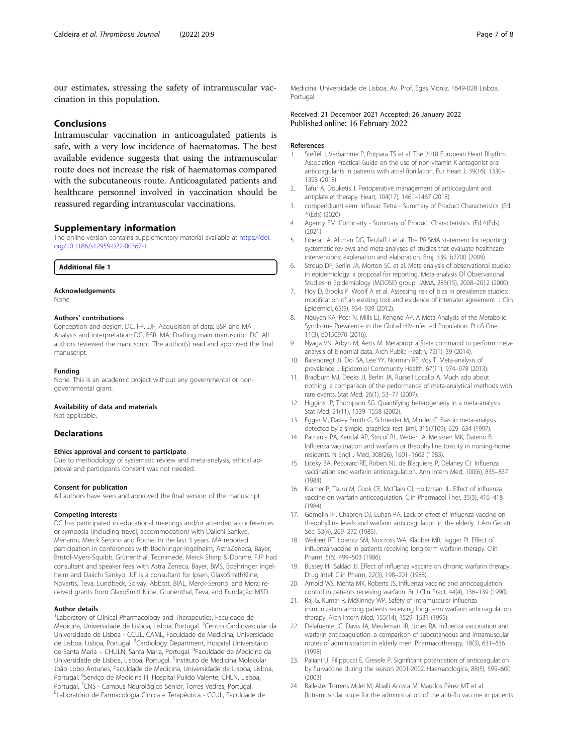<span id="page-6-0"></span>our estimates, stressing the safety of intramuscular vaccination in this population.

# Conclusions

Intramuscular vaccination in anticoagulated patients is safe, with a very low incidence of haematomas. The best available evidence suggests that using the intramuscular route does not increase the risk of haematomas compared with the subcutaneous route. Anticoagulated patients and healthcare personnel involved in vaccination should be reassured regarding intramuscular vaccinations.

# Supplementary information

The online version contains supplementary material available at [https://doi.](https://doi.org/10.1186/s12959-022-00367-1) [org/10.1186/s12959-022-00367-1.](https://doi.org/10.1186/s12959-022-00367-1)

Additional file 1

#### Acknowledgements

None.

### Authors' contributions

Conception and design: DC, FP, JJF; Acquisition of data: BSR and MA ; Analysis and interpretation: DC, BSR, MA; Drafting main manuscript: DC. All authors reviewed the manuscript. The author(s) read and approved the final manuscript.

#### Funding

None. This is an academic project without any governmental or nongovernmental grant.

# Availability of data and materials

Not applicable.

### **Declarations**

#### Ethics approval and consent to participate

Due to methodology of systematic review and meta-analysis, ethical approval and participants consent was not needed.

#### Consent for publication

All authors have seen and approved the final version of the manuscript.

#### Competing interests

DC has participated in educational meetings and/or attended a conferences or symposia (including travel, accommodation) with Daiichi Sankyo, Menarini, Merck Serono and Roche, in the last 3 years. MA reported participation in conferences with Boehringer-Ingelheim, AstraZeneca, Bayer, Bristol-Myers-Squibb, Grünenthal, Tecnimede, Merck Sharp & Dohme. FJP had consultant and speaker fees with Astra Zeneca, Bayer, BMS, Boehringer Ingelheim and Daiichi Sankyo. JJF is a consultant for Ipsen, GlaxoSmithKline, Novartis, Teva, Lundbeck, Solvay, Abbott, BIAL, Merck-Serono, and Merz; received grants from GlaxoSmithKline, Grunenthal, Teva, and Fundação MSD.

#### Author details

<sup>1</sup> Laboratory of Clinical Pharmacology and Therapeutics, Faculdade de Medicina, Universidade de Lisboa, Lisboa, Portugal. <sup>2</sup>Centro Cardiovascular da Universidade de Lisboa - CCUL, CAML, Faculdade de Medicina, Universidade de Lisboa, Lisboa, Portugal. <sup>3</sup>Cardiology Department, Hospital Universitário de Santa Maria – CHULN, Santa Maria, Portugal. <sup>4</sup>Faculdade de Medicina da Universidade de Lisboa, Lisboa, Portugal. <sup>5</sup>Instituto de Medicina Molecular João Lobo Antunes, Faculdade de Medicina, Universidade de Lisboa, Lisboa, Portugal. <sup>6</sup>Serviço de Medicina III, Hospital Pulido Valente, CHLN, Lisboa, Portugal. <sup>7</sup>CNS - Campus Neurológico Sénior, Torres Vedras, Portugal.<br><sup>8</sup>Laboratório de Earmacologia Clínica e Torapôutica - CCLIL, Esculdad Laboratório de Farmacologia Clínica e Terapêutica - CCUL, Faculdade de

Medicina, Universidade de Lisboa, Av. Prof. Egas Moniz, 1649-028 Lisboa, Portugal.

# Received: 21 December 2021 Accepted: 26 January 2022 Published online: 16 February 2022

#### References

- 1. Steffel J, Verhamme P, Potpara TS et al. The 2018 European Heart Rhythm Association Practical Guide on the use of non-vitamin K antagonist oral anticoagulants in patients with atrial fibrillation. Eur Heart J, 39(16), 1330– 1393 (2018).
- 2. Tafur A, Douketis J. Perioperative management of anticoagulant and antiplatelet therapy. Heart, 104(17), 1461–1467 (2018).
- 3. compendium) eem. Influvac Tetra Summary of Product Characteristcs. (Ed. ^(Eds) (2020)
- 4. Agency EM. Cominarty Summary of Product Characteristics. (Ed.^(Eds) (2021)
- 5. Liberati A, Altman DG, Tetzlaff J et al. The PRISMA statement for reporting systematic reviews and meta-analyses of studies that evaluate healthcare interventions: explanation and elaboration. Bmj, 339, b2700 (2009).
- 6. Stroup DF, Berlin JA, Morton SC et al. Meta-analysis of observational studies in epidemiology: a proposal for reporting. Meta-analysis Of Observational Studies in Epidemiology (MOOSE) group. JAMA, 283(15), 2008–2012 (2000).
- 7. Hoy D, Brooks P, Woolf A et al. Assessing risk of bias in prevalence studies: modification of an existing tool and evidence of interrater agreement. J Clin Epidemiol, 65(9), 934–939 (2012).
- 8. Nguyen KA, Peer N, Mills EJ, Kengne AP. A Meta-Analysis of the Metabolic Syndrome Prevalence in the Global HIV-Infected Population. PLoS One, 11(3), e0150970 (2016).
- 9. Nyaga VN, Arbyn M, Aerts M. Metaprop: a Stata command to perform metaanalysis of binomial data. Arch Public Health, 72(1), 39 (2014).
- 10. Barendregt JJ, Doi SA, Lee YY, Norman RE, Vos T. Meta-analysis of prevalence. J Epidemiol Community Health, 67(11), 974–978 (2013).
- 11. Bradburn MJ, Deeks JJ, Berlin JA, Russell Localio A. Much ado about nothing: a comparison of the performance of meta-analytical methods with rare events. Stat Med, 26(1), 53–77 (2007).
- 12. Higgins JP, Thompson SG. Quantifying heterogeneity in a meta-analysis. Stat Med, 21(11), 1539–1558 (2002).
- 13. Egger M, Davey Smith G, Schneider M, Minder C. Bias in meta-analysis detected by a simple, graphical test. Bmj, 315(7109), 629–634 (1997).
- 14. Patriarca PA, Kendal AP, Stricof RL, Weber JA, Meissner MK, Dateno B. Influenza vaccination and warfarin or theophylline toxicity in nursing-home residents. N Engl J Med, 308(26), 1601–1602 (1983).
- 15. Lipsky BA, Pecoraro RE, Roben NJ, de Blaquiere P, Delaney CJ. Influenza vaccination and warfarin anticoagulation. Ann Intern Med, 100(6), 835–837 (1984).
- 16. Kramer P, Tsuru M, Cook CE, McClain CJ, Holtzman JL. Effect of influenza vaccine on warfarin anticoagulation. Clin Pharmacol Ther, 35(3), 416–418 (1984).
- 17. Gomolin IH, Chapron DJ, Luhan PA. Lack of effect of influenza vaccine on theophylline levels and warfarin anticoagulation in the elderly. J Am Geriatr Soc, 33(4), 269–272 (1985).
- 18. Weibert RT, Lorentz SM, Norcross WA, Klauber MR, Jagger PI. Effect of influenza vaccine in patients receiving long-term warfarin therapy. Clin Pharm, 5(6), 499–503 (1986).
- 19. Bussey HI, Saklad JJ. Effect of influenza vaccine on chronic warfarin therapy. Drug Intell Clin Pharm, 22(3), 198–201 (1988).
- 20. Arnold WS, Mehta MK, Roberts JS. Influenza vaccine and anticoagulation control in patients receiving warfarin. Br J Clin Pract, 44(4), 136–139 (1990).
- 21. Raj G, Kumar R, McKinney WP. Safety of intramuscular influenza immunization among patients receiving long-term warfarin anticoagulation therapy. Arch Intern Med, 155(14), 1529–1531 (1995).
- 22. Delafuente JC, Davis JA, Meuleman JR, Jones RA. Influenza vaccination and warfarin anticoagulation: a comparison of subcutaneous and intramuscular routes of administration in elderly men. Pharmacotherapy, 18(3), 631–636 (1998).
- 23. Paliani U, Filippucci E, Gresele P. Significant potentiation of anticoagulation by flu-vaccine during the season 2001-2002. Haematologica, 88(5), 599–600 (2003).
- 24. Ballester Torrens Mdel M, Aballí Acosta M, Maudos Pérez MT et al. [Intramuscular route for the administration of the anti-flu vaccine in patients